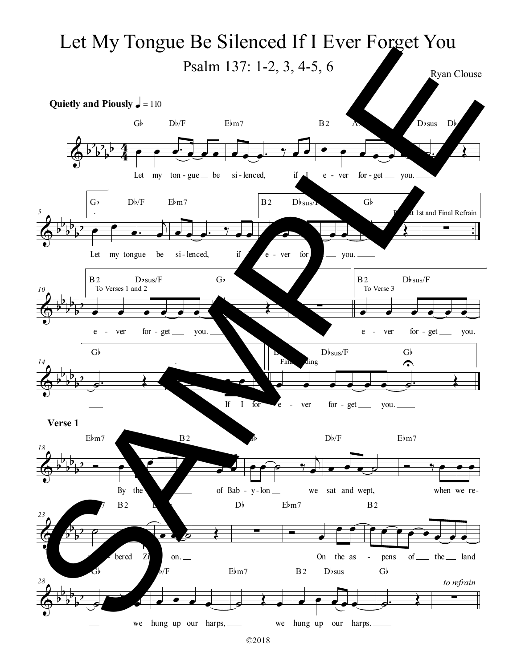